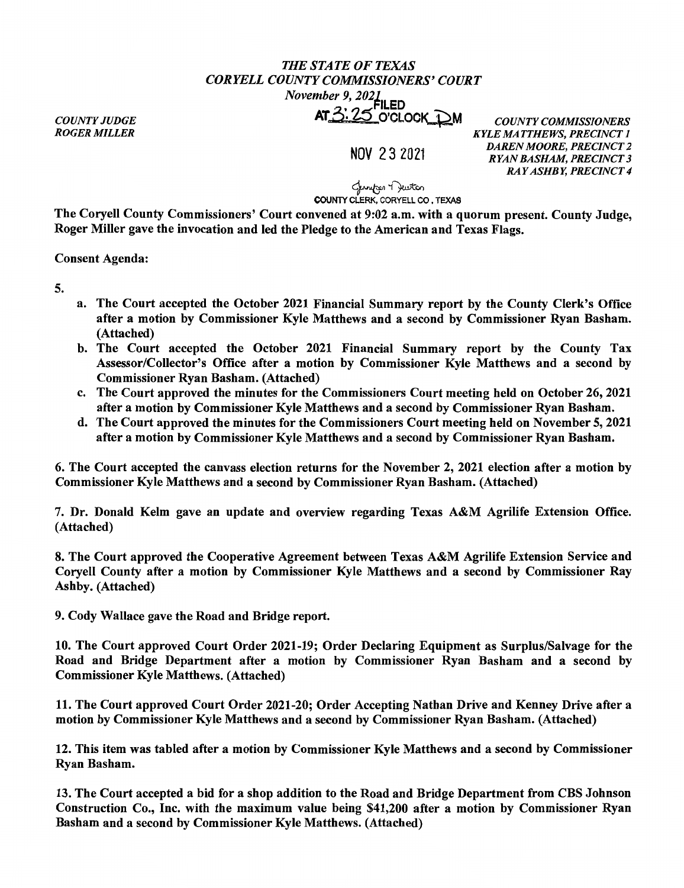## *THE STATE OF TEXAS CORYELL COUNTY COMMISSIONERS' COURT November 9, 2021*<br>**FILED** AT<sub>2</sub>: 25 O'CLOCK DM *COUNTY COMMISSIONERS*

*COUNTY JUDGE ROGER MILLER* 

NOV 2 3 2021

*KYLE MATTHEWS, PRECINCT 1 DAREN MOORE, PRECINCT 2 RYAN BASHAM, PRECINCT 3 RAY ASHBY, PRECINCT 4* 

لمسلمه ۲ بستهم<br>**COUNTY CLERK, CORYELL CO , TEXAS** 

The Coryell County Commissioners' Court convened at 9:02 a.m. with a quorum present. County Judge, Roger Miller gave the invocation and led the Pledge to the American and Texas Flags.

Consent Agenda:

5.

- a. The Court accepted the October 2021 Financial Summary report by the County Clerk's Office after a motion by Commissioner Kyle Matthews and a second by Commissioner Ryan Basham. (Attached)
- b. The Court accepted the October 2021 Financial Summary report by the County Tax Assessor/Collector's Office after a motion by Commissioner Kyle Matthews and a second by Commissioner Ryan Basham. (Attached)
- c. The Court approved the minutes for the Commissioners Court meeting held on October 26, 2021 after a motion by Commissioner Kyle Matthews and a second by Commissioner Ryan Basham.
- d. The Court approved the minutes for the Commissioners Court meeting held on November 5, 2021 after a motion by Commissioner Kyle Matthews and a second by Commissioner Ryan Basham.

6. The Court accepted the canvass election returns for the November 2, 2021 election after a motion by Commissioner Kyle Matthews and a second by Commissioner Ryan Basham. (Attached)

7. Dr. Donald Kelm gave an update and overview regarding Texas A&M Agrilife Extension Office. (Attached)

8. The Court approved the Cooperative Agreement between Texas A&M Agrilife Extension Service and Coryell County after a motion by Commissioner Kyle Matthews and a second by Commissioner Ray Ashby. (Attached)

9. Cody Wallace gave the Road and Bridge report.

10. The Court approved Court Order 2021-19; Order Declaring Equipment as Surplus/Salvage for the Road and Bridge Department after a motion by Commissioner Ryan Basham and a second by Commissioner Kyle Matthews. (Attached)

11. The Court approved Court Order 2021-20; Order Accepting Nathan Drive and Kenney Drive after a motion by Commissioner Kyle Matthews and a second by Commissioner Ryan Basham. {Attached)

12. This item was tabled after a motion by Commissioner Kyle Matthews and a second by Commissioner Ryan Basham.

13. The Court accepted a bid for a shop addition to the Road and Bridge Department from CBS Johnson Construction Co., Inc. with the maximum value being \$41,200 after a motion by Commissioner Ryan Basham and a second by Commissioner Kyle Matthews. (Attached)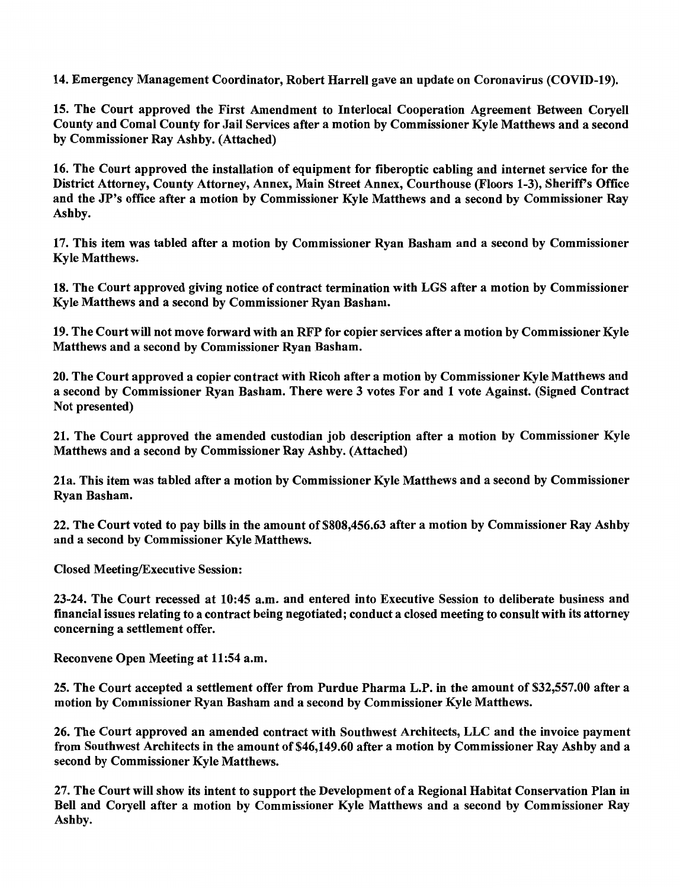14. Emergency Management Coordinator, Robert Harrell gave an update on Coronavirus (COVID-19).

15. The Court approved the First Amendment to Interlocal Cooperation Agreement Between Coryell County and Comal County for Jail Services after a motion by Commissioner Kyle Matthews and a second by Commissioner Ray Ashby. (Attached)

16. The Court approved the installation of equipment for fiberoptic cabling and internet service for the District Attorney, County Attorney, Annex, Main Street Annex, Courthouse (Floors 1-3), Sherifrs Office and the JP's office after a motion by Commissioner Kyle Matthews and a second by Commissioner Ray Ashby.

17. This item was tabled after a motion by Commissioner Ryan Basham and a second by Commissioner Kyle Matthews.

18. The Court approved giving notice of contract termination with LGS after a motion by Commissioner Kyle Matthews and a second by Commissioner Ryan Basham.

19. The Court will not move forward with an RFP for copier services after a motion by Commissioner Kyle Matthews and a second by Commissioner Ryan Basham.

20. The Court approved a copier contract with Ricoh after a motion by Commissioner Kyle Matthews and a second by Commissioner Ryan Basham. There were 3 votes For and 1 vote Against. (Signed Contract Not presented)

21. The Court approved the amended custodian job description after a motion by Commissioner Kyle Matthews and a second by Commissioner Ray Ashby. (Attached)

21a. This item was tabled after a motion by Commissioner Kyle Matthews and a second by Commissioner Ryan Basham.

22. The Court voted to pay bills in the amount of \$808,456.63 after a motion by Commissioner Ray Ashby and a second by Commissioner Kyle Matthews.

Closed Meeting/Executive Session:

23-24. The Court recessed at 10:45 a.m. and entered into Executive Session to deliberate business and financial issues relating to a contract being negotiated; conduct a closed meeting to consult with its attorney concerning a settlement offer.

Reconvene Open Meeting at 11:54 a.m.

25. The Court accepted a settlement offer from Purdue Pharma L.P. in the amount of \$32,557.00 after a motion by Commissioner Ryan Basham and a second by Commissioner Kyle Matthews.

26. The Court approved an amended contract with Southwest Architects, LLC and the invoice payment from Southwest Architects in the amount of \$46,149.60 after a motion by Commissioner Ray Ashby and a second by Commissioner Kyle Matthews.

27. The Court will show its intent to support the Development of a Regional Habitat Conservation Plan in Bell and Coryell after a motion by Commissioner Kyle Matthews and a second by Commissioner Ray Ashby.